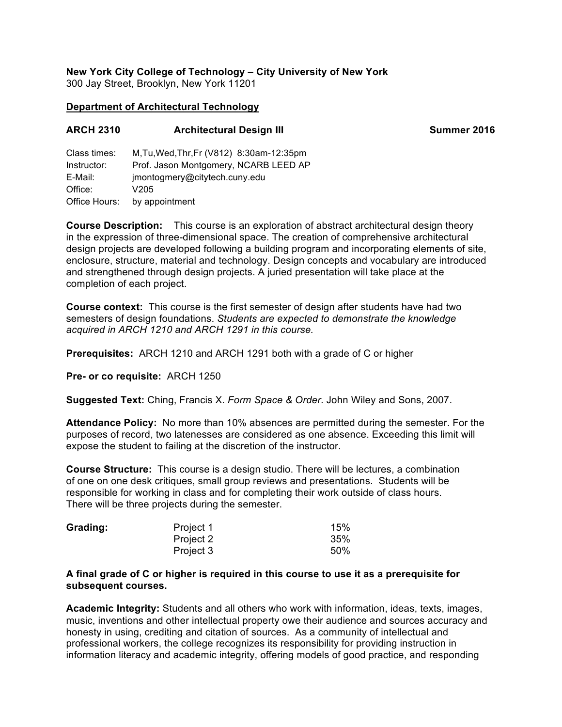#### **New York City College of Technology – City University of New York** 300 Jay Street, Brooklyn, New York 11201

### **Department of Architectural Technology**

| <b>ARCH 2310</b>            | <b>Architectural Design III</b>                                                    | Summer 2016 |
|-----------------------------|------------------------------------------------------------------------------------|-------------|
| Class times:<br>Instructor: | M, Tu, Wed, Thr, Fr (V812) 8:30am-12:35pm<br>Prof. Jason Montgomery, NCARB LEED AP |             |

E-Mail: jmontogmery@citytech.cuny.edu Office: V205 Office Hours: by appointment

**Course Description:** This course is an exploration of abstract architectural design theory in the expression of three-dimensional space. The creation of comprehensive architectural design projects are developed following a building program and incorporating elements of site, enclosure, structure, material and technology. Design concepts and vocabulary are introduced and strengthened through design projects. A juried presentation will take place at the completion of each project.

**Course context:** This course is the first semester of design after students have had two semesters of design foundations. *Students are expected to demonstrate the knowledge acquired in ARCH 1210 and ARCH 1291 in this course.*

**Prerequisites:** ARCH 1210 and ARCH 1291 both with a grade of C or higher

**Pre- or co requisite:** ARCH 1250

**Suggested Text:** Ching, Francis X. *Form Space & Order*. John Wiley and Sons, 2007.

**Attendance Policy:** No more than 10% absences are permitted during the semester. For the purposes of record, two latenesses are considered as one absence. Exceeding this limit will expose the student to failing at the discretion of the instructor.

**Course Structure:** This course is a design studio. There will be lectures, a combination of one on one desk critiques, small group reviews and presentations. Students will be responsible for working in class and for completing their work outside of class hours. There will be three projects during the semester.

| Grading: | Project 1 | 15% |
|----------|-----------|-----|
|          | Project 2 | 35% |
|          | Project 3 | 50% |

#### **A final grade of C or higher is required in this course to use it as a prerequisite for subsequent courses.**

**Academic Integrity:** Students and all others who work with information, ideas, texts, images, music, inventions and other intellectual property owe their audience and sources accuracy and honesty in using, crediting and citation of sources. As a community of intellectual and professional workers, the college recognizes its responsibility for providing instruction in information literacy and academic integrity, offering models of good practice, and responding